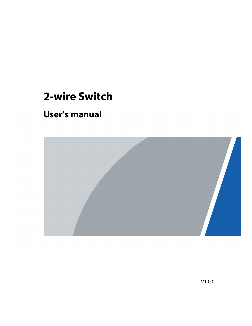# **2-wire Switch**

# **User's manual**



V1.0.0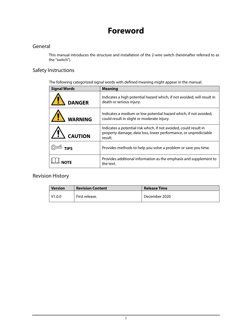# **Foreword**

# General

This manual introduces the structure and installation of the 2-wire switch (hereinafter referred to as the "switch").

# Safety Instructions

The following categorized signal words with defined meaning might appear in the manual.

| <b>Signal Words</b> | <b>Meaning</b>                                                                                                                                  |
|---------------------|-------------------------------------------------------------------------------------------------------------------------------------------------|
| <b>DANGER</b>       | Indicates a high potential hazard which, if not avoided, will result in<br>death or serious injury.                                             |
| <b>WARNING</b>      | Indicates a medium or low potential hazard which, if not avoided,<br>could result in slight or moderate injury.                                 |
| <b>CAUTION</b>      | Indicates a potential risk which, if not avoided, could result in<br>property damage, data loss, lower performance, or unpredictable<br>result. |
| <b>TIPS</b>         | Provides methods to help you solve a problem or save you time.                                                                                  |
|                     | Provides additional information as the emphasis and supplement to<br>the text.                                                                  |

# Revision History

| <b>Version</b> | <b>Revision Content</b> | <b>Release Time</b> |
|----------------|-------------------------|---------------------|
| V1.0.0         | First release.          | December 2020       |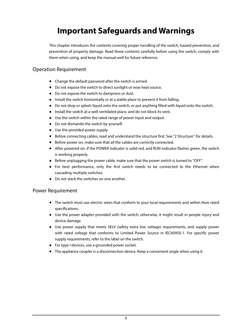# **Important Safeguards and Warnings**

This chapter introduces the contents covering proper handling of the switch, hazard prevention, and prevention of property damage. Read these contents carefully before using the switch, comply with them when using, and keep the manual well for future reference.

## Operation Requirement

- Change the default password after the switch is armed.
- Do not expose the switch to direct sunlight or near heat source.
- Do not expose the switch to dampness or dust.
- Install the switch horizontally or at a stable place to prevent it from falling.
- Do not drop or splash liquid onto the switch, or put anything filled with liquid onto the switch.
- Install the switch at a well-ventilated place, and do not block its vent.
- Use the switch within the rated range of power input and output.
- Do not dismantle the switch by yourself.
- Use the provided power supply.
- Before connecting cables, read and understand the structure first. See "2 Structure". for details.
- Before power on, make sure that all the cables are correctly connected.
- After powered on, if the POWER indicator is solid red, and RUN indicator flashes green, the switch is working properly.
- Before unplugging the power cable, make sure that the power switch is turned to "OFF".
- For best performance, only the first switch needs to be connected to the Ethernet when cascading multiple switches.
- Do not stack the switches on one another.

## Power Requirement

- The switch must use electric wires that conform to your local requirements and within their rated specifications.
- Use the power adapter provided with the switch; otherwise, it might result in people injury and device damage.
- Use power supply that meets SELV (safety extra low voltage) requirements, and supply power with rated voltage that conforms to Limited Power Source in IEC60950-1. For specific power supply requirements, refer to the label on the switch.
- For type I devices, use a grounded power socket.
- The appliance coupler is a disconnection device. Keep a convenient angle when using it.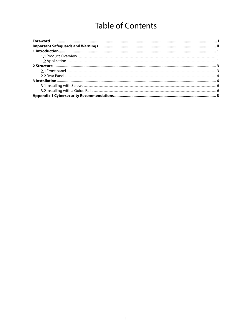# **Table of Contents**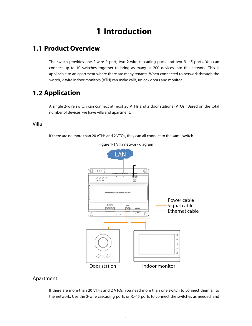# **1 Introduction**

# **1.1 Product Overview**

The switch provides one 2-wire P port, two 2-wire cascading ports and two RJ-45 ports. You can connect up to 10 switches together to bring as many as 200 devices into the network. This is applicable to an apartment where there are many tenants. When connected to network through the switch, 2-wire indoor monitors (VTH) can make calls, unlock doors and monitor.

# **1.2 Application**

A single 2-wire switch can connect at most 20 VTHs and 2 door stations (VTOs). Based on the total number of devices, we have villa and apartment.

## Villa

If there are no more than 20 VTHs and 2 VTOs, they can all connect to the same switch.



Figure 1-1 Villa network diagram

# Apartment

If there are more than 20 VTHs and 2 VTOs, you need more than one switch to connect them all to the network. Use the 2-wire cascading ports or RJ-45 ports to connect the switches as needed, and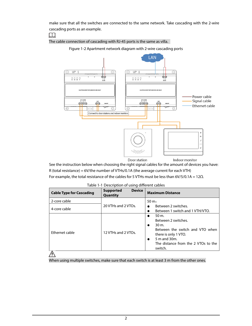make sure that all the switches are connected to the same network. Take cascading with the 2-wire cascading ports as an example.

 $\boxed{1}$ 

The cable connection of cascading with RJ-45 ports is the same as villa.



Figure 1-2 Apartment network diagram with 2-wire cascading ports

See the instruction below when choosing the right signal cables for the amount of devices you have: R (total resistance) = 6V/the number of VTHs/0.1A (the average current for each VTH) For example, the total resistance of the cables for 5 VTHs must be less than 6V/5/0.1A = 12Ω.

| 2-core cable<br>$50 \,\mathrm{m}$<br>20 VTHs and 2 VTOs.<br>Between 2 switches.<br>4-core cable<br>Between 1 switch and 1 VTH/VTO.<br>50 m.<br>$\bullet$<br>Between 2 switches.<br>$30 \text{ m}$ .<br>$\bullet$<br>12 VTHs and 2 VTOs.<br>Ethernet cable<br>there is only 1 VTO.<br>5 m and 30m.<br>$\bullet$ | <b>Cable Type for Cascading</b> | <b>Device</b><br><b>Supported</b><br>Quantity | <b>Maximum Distance</b>                                                           |
|----------------------------------------------------------------------------------------------------------------------------------------------------------------------------------------------------------------------------------------------------------------------------------------------------------------|---------------------------------|-----------------------------------------------|-----------------------------------------------------------------------------------|
|                                                                                                                                                                                                                                                                                                                |                                 |                                               |                                                                                   |
|                                                                                                                                                                                                                                                                                                                |                                 |                                               |                                                                                   |
|                                                                                                                                                                                                                                                                                                                |                                 |                                               | Between the switch and VTO when<br>The distance from the 2 VTOs to the<br>switch. |

Table 1-1 Description of using different cables

When using multiple switches, make sure that each switch is at least 3 m from the other ones.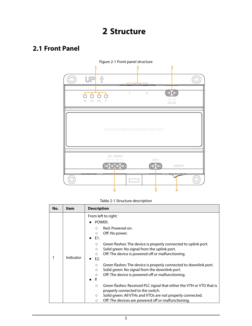# **2.1 Front Panel**



Table 2-1 Structure description

| No. | Item      | <b>Description</b>                                                                                                                                                                                                                                                                                                                                                                                                                                                                                                   |  |
|-----|-----------|----------------------------------------------------------------------------------------------------------------------------------------------------------------------------------------------------------------------------------------------------------------------------------------------------------------------------------------------------------------------------------------------------------------------------------------------------------------------------------------------------------------------|--|
|     | Indicator | From left to right:<br>POWER.<br>Red: Powered on.<br>♦<br>Off: No power.<br>♦<br>$\bullet$ E1.<br>Green flashes: The device is properly connected to uplink port.<br>♦<br>Solid green: No signal from the uplink port.<br>♦<br>Off: The device is powered off or malfunctioning.<br>◇<br>$\bullet$ E2.<br>Green flashes: The device is properly connected to downlink port.<br>♦<br>Solid green: No signal from the downlink port.<br>♦<br>Off: The device is powered off or malfunctioning.<br>◇<br>P.<br>$\bullet$ |  |
|     |           | Green flashes: Received PLC signal that either the VTH or VTO that is<br>♦<br>properly connected to the switch.<br>Solid green: All VTHs and VTOs are not properly connected.<br>♦<br>Off: The devices are powered off or malfunctioning.<br>♦                                                                                                                                                                                                                                                                       |  |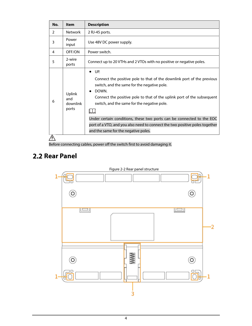| No. | <b>Item</b>                        | <b>Description</b>                                                                                                                                                                                                                                                                                                                                                                                                                                             |
|-----|------------------------------------|----------------------------------------------------------------------------------------------------------------------------------------------------------------------------------------------------------------------------------------------------------------------------------------------------------------------------------------------------------------------------------------------------------------------------------------------------------------|
| 2   | <b>Network</b>                     | 2 RJ-45 ports.                                                                                                                                                                                                                                                                                                                                                                                                                                                 |
| 3   | Power<br>input                     | Use 48V DC power supply.                                                                                                                                                                                                                                                                                                                                                                                                                                       |
| 4   | OFF/ON                             | Power switch.                                                                                                                                                                                                                                                                                                                                                                                                                                                  |
| 5   | 2-wire<br>ports                    | Connect up to 20 VTHs and 2 VTOs with no positive or negative poles.                                                                                                                                                                                                                                                                                                                                                                                           |
| 6   | Uplink<br>and<br>downlink<br>ports | UP.<br>Connect the positive pole to that of the downlink port of the previous<br>switch, and the same for the negative pole.<br>DOWN.<br>Connect the positive pole to that of the uplink port of the subsequent<br>switch, and the same for the negative pole.<br>Under certain conditions, these two ports can be connected to the EOC<br>port of a VTO, and you also need to connect the two positive poles together<br>and the same for the negative poles. |
|     |                                    |                                                                                                                                                                                                                                                                                                                                                                                                                                                                |

Before connecting cables, power off the switch first to avoid damaging it.

# **2.2 Rear Panel**



Figure 2-2 Rear panel structure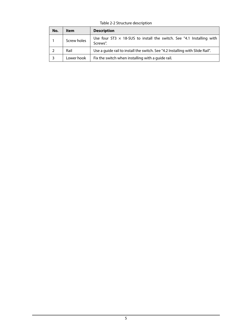Table 2-2 Structure description

| No. | Item        | <b>Description</b>                                                                       |
|-----|-------------|------------------------------------------------------------------------------------------|
|     | Screw holes | Use four ST3 $\times$ 18-SUS to install the switch. See "4.1 Installing with<br>Screws". |
|     | Rail        | Use a quide rail to install the switch. See "4.2 Installing with Slide Rail".            |
|     | Lower hook  | Fix the switch when installing with a guide rail.                                        |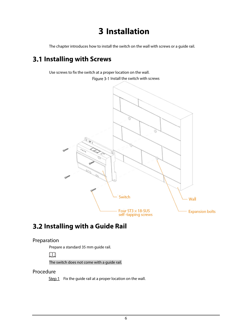# **3 Installation**

The chapter introduces how to install the switch on the wall with screws or a guide rail.

# **Installing with Screws**

Use screws to fix the switch at a proper location on the wall. Figure 3-1 Install the switch with screws



# **Installing with a Guide Rail**

# Preparation

Prepare a standard 35 mm guide rail.



The switch does not come with a guide rail.

## Procedure

 $Step 1$  Fix the guide rail at a proper location on the wall.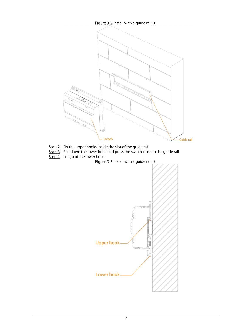

- $Step 2$  Fix the upper hooks inside the slot of the guide rail.
- Step 3 Pull down the lower hook and press the switch close to the guide rail.
- Step 4 Let go of the lower hook.
	- Figure 3-3 Install with a guide rail (2)

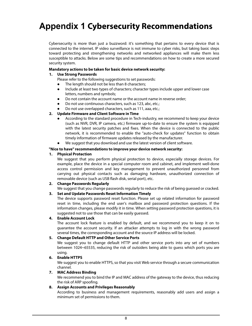# **Appendix 1 Cybersecurity Recommendations**

Cybersecurity is more than just a buzzword: it's something that pertains to every device that is connected to the internet. IP video surveillance is not immune to cyber risks, but taking basic steps toward protecting and strengthening networks and networked appliances will make them less susceptible to attacks. Below are some tips and recommendations on how to create a more secured security system.

#### **Mandatory actions to be taken for basic device network security:**

## **1. Use Strong Passwords**

- Please refer to the following suggestions to set passwords:
- The length should not be less than 8 characters;
- Include at least two types of characters; character types include upper and lower case letters, numbers and symbols;
- Do not contain the account name or the account name in reverse order;
- Do not use continuous characters, such as 123, abc, etc.;
- Do not use overlapped characters, such as 111, aaa, etc.;

## **2. Update Firmware and Client Software in Time**

- According to the standard procedure in Tech-industry, we recommend to keep your device (such as NVR, DVR, IP camera, etc.) firmware up-to-date to ensure the system is equipped with the latest security patches and fixes. When the device is connected to the public network, it is recommended to enable the "auto-check for updates" function to obtain timely information of firmware updates released by the manufacturer.
- We suggest that you download and use the latest version of client software.

#### **"Nice to have" recommendations to improve your device network security:**

#### **1. Physical Protection**

We suggest that you perform physical protection to device, especially storage devices. For example, place the device in a special computer room and cabinet, and implement well-done access control permission and key management to prevent unauthorized personnel from carrying out physical contacts such as damaging hardware, unauthorized connection of removable device (such as USB flash disk, serial port), etc.

## **2. Change Passwords Regularly**

We suggest that you change passwords regularly to reduce the risk of being guessed or cracked.

## **3. Set and Update Passwords Reset Information Timely**

The device supports password reset function. Please set up related information for password reset in time, including the end user's mailbox and password protection questions. If the information changes, please modify it in time. When setting password protection questions, it is suggested not to use those that can be easily guessed.

#### **4. Enable Account Lock**

The account lock feature is enabled by default, and we recommend you to keep it on to guarantee the account security. If an attacker attempts to log in with the wrong password several times, the corresponding account and the source IP address will be locked.

## **5. Change Default HTTP and Other Service Ports**

We suggest you to change default HTTP and other service ports into any set of numbers between 1024~65535, reducing the risk of outsiders being able to guess which ports you are using.

## **6. Enable HTTPS**

We suggest you to enable HTTPS, so that you visit Web service through a secure communication channel.

#### **7. MAC Address Binding**

We recommend you to bind the IP and MAC address of the gateway to the device, thus reducing the risk of ARP spoofing.

## **8. Assign Accounts and Privileges Reasonably**

According to business and management requirements, reasonably add users and assign a minimum set of permissions to them.